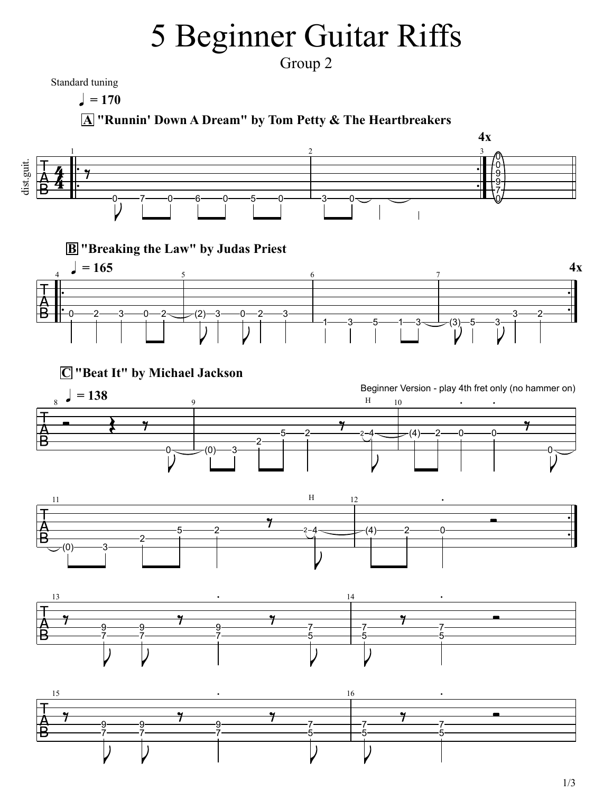## 5 Beginner Guitar Riffs

Group 2

Standard tuning

 $= 170$ 

**A "Runnin' Down A Dream" by Tom Petty & The Heartbreakers**

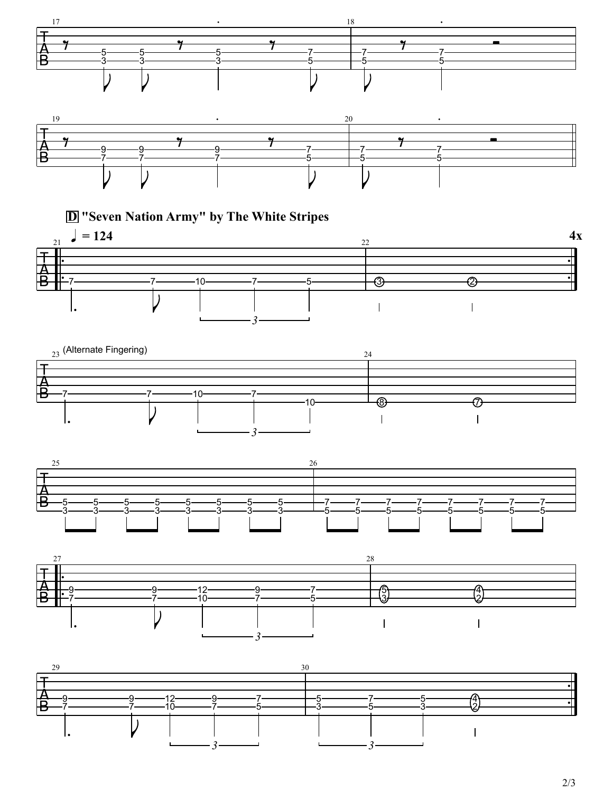

**D "Seven Nation Army" by The White Stripes**